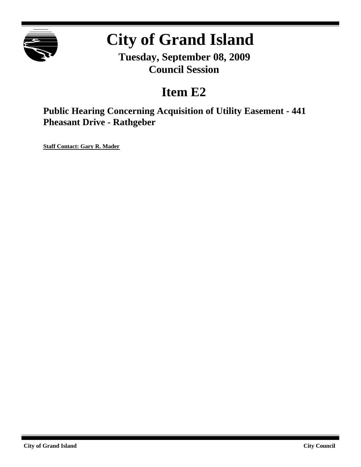

# **City of Grand Island**

**Tuesday, September 08, 2009 Council Session**

# **Item E2**

**Public Hearing Concerning Acquisition of Utility Easement - 441 Pheasant Drive - Rathgeber**

**Staff Contact: Gary R. Mader**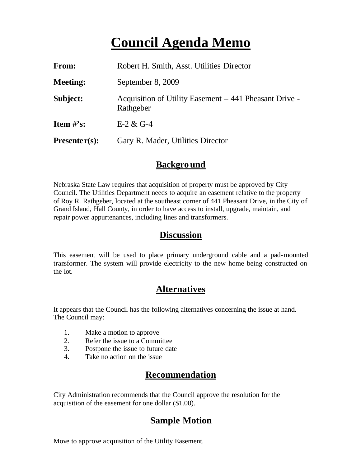# **Council Agenda Memo**

| From:           | Robert H. Smith, Asst. Utilities Director                           |
|-----------------|---------------------------------------------------------------------|
| <b>Meeting:</b> | September 8, 2009                                                   |
| Subject:        | Acquisition of Utility Easement – 441 Pheasant Drive -<br>Rathgeber |
| Item $#$ 's:    | $E-2 & G-4$                                                         |
| $Presenter(s):$ | Gary R. Mader, Utilities Director                                   |

#### **Background**

Nebraska State Law requires that acquisition of property must be approved by City Council. The Utilities Department needs to acquire an easement relative to the property of Roy R. Rathgeber, located at the southeast corner of 441 Pheasant Drive, in the City of Grand Island, Hall County, in order to have access to install, upgrade, maintain, and repair power appurtenances, including lines and transformers.

#### **Discussion**

This easement will be used to place primary underground cable and a pad-mounted transformer. The system will provide electricity to the new home being constructed on the lot.

## **Alternatives**

It appears that the Council has the following alternatives concerning the issue at hand. The Council may:

- 1. Make a motion to approve
- 2. Refer the issue to a Committee
- 3. Postpone the issue to future date
- 4. Take no action on the issue

## **Recommendation**

City Administration recommends that the Council approve the resolution for the acquisition of the easement for one dollar (\$1.00).

## **Sample Motion**

Move to approve acquisition of the Utility Easement.